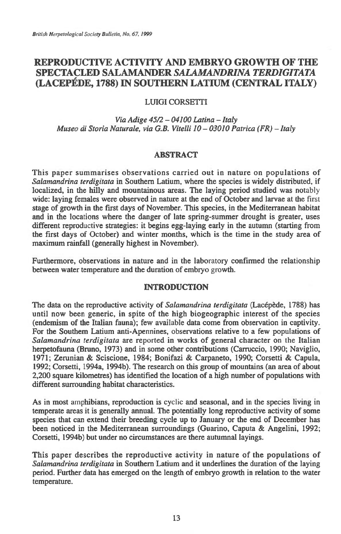# **REPRODUCTIVE ACTIVITY AND EMBRYO GROWTH OF THE SPECTACLED SALAMANDER** *SALAMANDRINA TERDIGITATA*  **(LACEPEDE, 1788) IN SOUTHERN LATIUM (CENTRAL ITALY)**

## **LUIGI CORSETTI**

#### *Via Adige 45/2 — 04100 Latina — Italy Museo di Storia Naturale, via G.B. Vitelli 10 — 03010 Patrica (FR) — Italy*

# **ABSTRACT**

**This paper summarises observations carried out in nature on populations of**  *Salamandrina terdigitata* **in Southern Latium, where the species is widely distributed, if localized, in the hilly and mountainous areas. The laying period studied was notably wide: laying females were observed in nature at the end of October and larvae at the first stage of growth in the first days of November. This species, in the Mediterranean habitat and in the locations where the danger of late spring-summer drought is greater, uses different reproductive strategies: it begins egg-laying early in the autumn (starting from the first days of October) and winter months, which is the time in the study area of maximum rainfall (generally highest in November).** 

**Furthermore, observations in nature and in the laboratory confirmed the relationship between water temperature and the duration of embryo growth.** 

#### **INTRODUCTION**

**The data on the reproductive activity of** *Salamandrina terdigitata* **(Lacepede, 1788) has until now been generic, in spite of the high biogeographic interest of the species (endemism of the Italian fauna); few available data come from observation in captivity. For the Southern Latium anti-Apennines, observations relative to a few populations of**  *Salamandrina terdigitata* **are reported in works of general character on** *the* **Italian herpetofauna (Bruno, 1973) and in some other contributions (Carruccio, 1990; Naviglio, 1971; Zerunian & Sciscione, 1984; Bonifazi & Carpaneto, 1990; Corsetti & Capula, 1992; Corsetti, 1994a, 1994b). The research on this group of mountains (an area of about 2,200 square kilometres) has identified the location of a high number of populations with different surrounding habitat characteristics.** 

**As in most amphibians, reproduction is cyclic and seasonal, and in the species living in temperate areas it is generally annual. The potentially long reproductive activity of some species that can extend their breeding cycle up to January or the end of December has been noticed in the Mediterranean surroundings (Guarino, Caputa & Angelini, 1992; Corsetti, 1994b) but under no circumstances are there autumnal layings.** 

**This paper describes the reproductive activity in nature of the populations of**  *Salamandrina terdigitata* **in Southern Latium and it underlines the duration of the laying period. Further data has emerged on the length of embryo growth in relation to the water temperature.**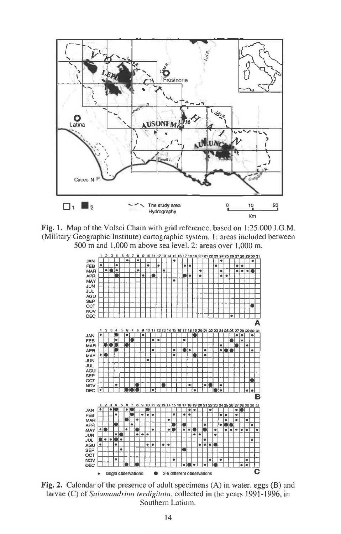

Fig. 1. Map of the Volsci Chain with grid reference, based on 1:25.000 I.G.M. (Military Geographic Institute) cartographic system. **1:** areas 'ncluded between 500 m and 1,000 m above sea level. 2: areas over 1,000 m.



Fig. 2. Calendar of the presence of adult specimens (A) in water, eggs (B) and larvae (C) of Salamandrina terdigitata, collected in the years 1991-1996, in Southern Latium.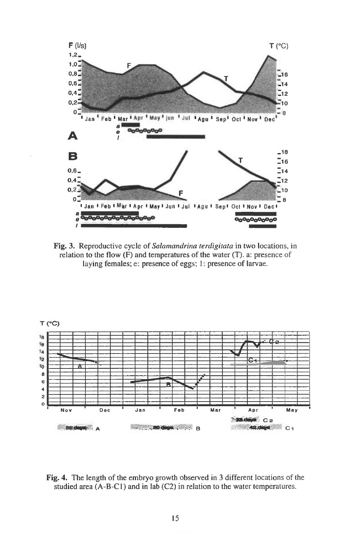

**Fig. 3.** Reproductive cycle of *Salamandrina terdigitata in* two locations, in relation to the flow  $(F)$  and temperatures of the water  $(T)$ . a: presence of laying females; e: presence of eggs; 1: presence of larvae.



**Fig. 4.** The length of the embryo growth observed in 3 different locations of the studied area (A-B-C1) and in lab (C2) in relation to the water temperatures.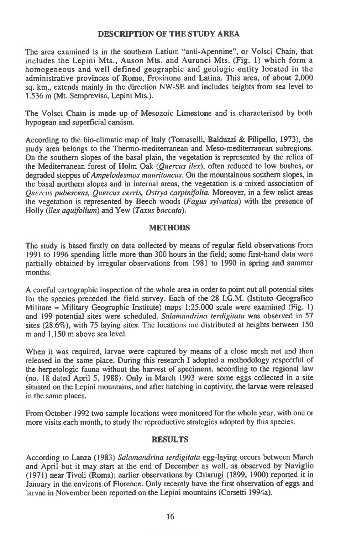## **DESCRIPTION OF THE STUDY AREA**

The area examined is in the southern Latium "anti-Apennine", or Volsci Chain, that includes the Lepini Mts., Auson Mts. and Aurunci Mts. (Fig. 1) which form a homogeneous and well defined geographic and geologic entity located in the administrative provinces of Rome, Frosinone and Latina. This area, of about 2,000 sq. km., extends mainly in the direction NW-SE and includes heights from sea level to 1.536 m (Mt. Semprevisa, Lepini Mts.).

The Volsci Chain is made up of Mesozoic Limestone and is characterised by both hypogean and superficial carsism.

According to the bio-climatic map of Italy (Tomaselli, Balduzzi & Filipello, 1973), the study area belongs to the Thermo-mediterranean and Meso-mediterranean subregions. On the southern slopes of the basal plain, the vegetation is represented by the relics of the Mediterranean forest of Holm Oak *(Quercus ilex),* often reduced to low bushes, or degraded steppes of *Ampelodesmos mauritancus.* On the mountainous southern slopes, in the basal northern slopes and in internal areas, the vegetation is a mixed association of *Quercus pubescens, Quercus cerris, Ostrya carpinifolia.* Moreover, in a few relict areas the vegetation is represented by Beech woods *(Fagus sylvatica)* with the presence of Holly *(llex aquifolium)* and Yew (Taxus baccata).

## **METHODS**

The study is based firstly on data collected by means of regular field observations from 1991 to 1996 spending little more than 300 hours in the field; some first-hand data were partially obtained by irregular observations from 1981 to 1990 in spring and summer months.

A careful cartographic inspection of the whole area in order to point out all potential sites for the species preceded the field survey. Each of the 28 I.G.M. (Istituto Geografico Militare = Military Geographic Institute) maps  $1:25.000$  scale were examined (Fig. 1) and 199 potential sites were scheduled. *Salainandrina terdigitata* was observed in 57 sites (28.6%), with 75 laying sites. The locations are distributed at heights between 150 m and 1,150 m above sea level.

When it was required, larvae were captured by means of a close mesh net and then released in the same place. During this research I adopted a methodology respectful of the herpetologic fauna without the harvest of specimens, according to the regional law (no. 18 dated April 5, 1988). Only in March 1993 were some eggs collected in a site situated on the Lepini mountains, and after hatching in captivity, the larvae were released in the same places.

From October 1992 two sample locations were monitored for the whole year, with one or more visits each month, to study the reproductive strategies adopted by this species.

# **RESULTS**

According to Lanza (1983) *Salamandrina terdigitata* egg-laying occurs between March and April but it may start at the end of December as well, as observed by Naviglio (1971) near Tivoli (Roma); earlier observations by Chiarugi (1899, 1900) reported it in January in the environs of Florence. Only recently have the first observation of eggs and larvae in November been reported on the Lepini mountains (Corsetti 1994a).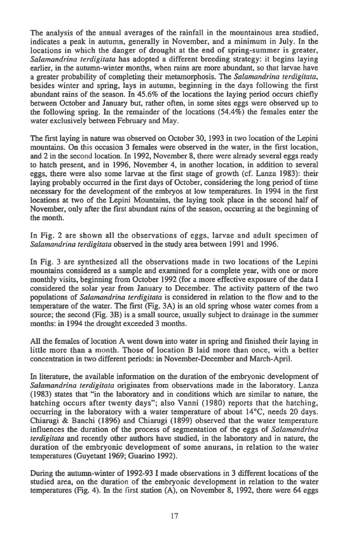**The analysis of the annual averages of the rainfall in the mountainous area studied, indicates a peak in autumn, generally in November, and a minimum in July. In the locations in which the danger of drought at the end of spring-summer is greater,**  *Salamandrina terdigitata* **has adopted a different breeding strategy: it begins laying earlier, in the autumn-winter months, when rains are more abundant, so that larvae have a greater probability of completing their metamorphosis. The** *Salamandrina terdigitata,*  **besides winter and spring, lays in autumn, beginning in the days following the first abundant rains of the season. In 45.6% of the locations the laying period occurs chiefly between October and January but, rather often, in some sites eggs were observed up to the following spring. In the remainder of the locations (54.4%) the females enter the water exclusively between February and May.** 

**The first laying in nature was observed on October 30, 1993 in two location of the Lepini mountains. On this occasion 3 females were observed in the water, in the first location, and 2 in the second location. In 1992, November 8, there were already several eggs ready to hatch present, and in 1996, November 4, in another location, in addition to several eggs, there were also some larvae at the first stage of growth (cf. Lanza 1983): their laying probably occurred in the first days of October, considering the long period of time necessary for the development of the embryos at low temperatures. In 1994 in the first locations at two of the Lepini Mountains, the laying took place in the second half of November, only after the first abundant rains of the season, occurring at the beginning of the month.** 

**In Fig. 2 are shown all the observations of eggs, larvae and adult specimen of**  *Salamandrina terdigitata* **observed in the study area between 1991 and 1996.** 

**In Fig. 3 are synthesized all the observations made in two locations of the Lepini mountains considered as a sample and examined for a complete year, with one or more monthly visits, beginning from October 1992 (for a more effective exposure of the data I considered the solar year from January to December. The activity pattern of the two populations of** *Salamandrina terdigitata* **is considered in relation to the flow and to the temperature of the water. The first (Fig. 3A) is an old spring whose water comes from a source; the second (Fig. 3B) is a small source, usually subject to drainage in the summer months: in 1994 the drought exceeded 3 months.** 

**All the females of location A went down into water in spring and finished their laying in little more than a month. Those of location B laid more than once, with a better concentration in two different periods: in November-December and March-April.** 

**In literature, the available information on the duration of the embryonic development of**  *Salamandrina terdigitata* **originates from observations made in the laboratory. Lanza (1983) states that "in the laboratory and in conditions which are similar to nature, the hatching occurs after twenty days"; also Vanni (1980) reports that the hatching, occurring in the laboratory with a water temperature of about 14°C, needs 20 days. Chiarugi & Banchi (1896) and Chiarugi (1899) observed that the water temperature influences the duration of the process of segmentation of the eggs of** *Salamandrina terdigitata* **and recently other authors have studied, in the laboratory and in nature, the duration of the embryonic development of some anurans, in relation to the water temperatures (Guyetant 1969; Guarino 1992).** 

**During the autumn-winter of 1992-93 I made observations in 3 different locations of the studied area, on the duration of the embryonic development in relation to the water temperatures (Fig. 4). In the first station (A), on November 8, 1992, there were 64 eggs**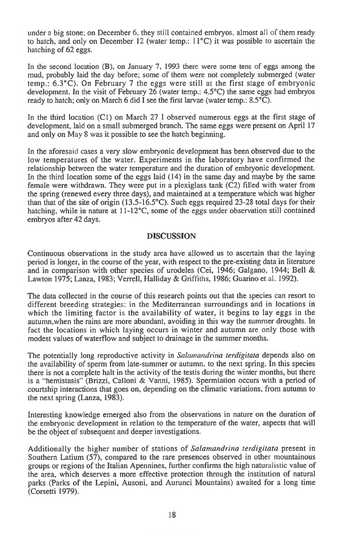under a big stone; on December 6, they still contained embryos almost all of them ready to hatch, and only on December 12 (water temp.:  $11^{\circ}$ C) it was possible to ascertain the hatching of 62 eggs.

In the second location (B), on January 7, 1993 there were some tens of eggs among the mud, probably laid the day before; some of them were not completely submerged (water temp.: 6.3°C). On February 7 the eggs were still at the first stage of embryonic development. In the visit of February 26 (water temp.: 4.5°C) the same eggs had embryos ready to hatch; only on March 6 did I see the first larvae (water temp.: 8.5°C).

In the third location (C1) on March 27 I observed numerous eggs at the first stage of development, laid on a small submerged branch. The same eggs were present on April 17 and only on May 8 was it possible to see the hatch beginning.

In the aforesaid cases a very slow embryonic development has been observed due to the low temperatures of the water. Experiments in the laboratory have confirmed the relationship between the water temperature and the duration of embryonic development. In the third location some of the eggs laid (14) in the same day and maybe by the same female were withdrawn. They were put in a plexiglass tank (C2) filled with water from the spring (renewed every three days), and maintained at a temperature which was higher than that of the site of origin (13.5-16.5°C). Such eggs required 23-28 total days for their hatching, while in nature at 11-12<sup>o</sup>C, some of the eggs under observation still contained embryos after 42 days.

# **DISCUSSION**

Continuous observations in the study area have allowed us to ascertain that the laying period is longer, in the course of the year, with respect to the pre-existing data in literature and in comparison with other species of urodeles (Cei, 1946; Galgano, 1944; Bell & Lawton 1975; Lanza, 1983; Verrell, Halliday & Griffiths, 1986; Guarino et al. 1992).

The data collected in the course of this research points out that the species can resort to different breeding strategies: in the Mediterranean surroundings and in locations in which the limiting factor is the availability of water, it begins to lay eggs in the autumn,when the rains are more abundant, avoiding in this way the summer droughts. In fact the locations in which laying occurs in winter and autumn are only those with modest values of waterflow and subject to drainage in the summer months.

The potentially long reproductive activity in Salamandrina terdigitata depends also on the availability of sperm from late-summer or autumn, to the next spring. In this species there is not a complete halt in the activity of the testis during the winter months, but there is a "hemistasis" (Brizzi, Calloni & Vanni, 1985). Spermiation occurs with a period of courtship interactions that goes on, depending on the climatic variations, from autumn to the next spring (Lanza, 1983).

Interesting knowledge emerged also from the observations in nature on the duration of the embryonic development in relation to the temperature of the water, aspects that will be the object of subsequent and deeper investigations.

Additionally the higher number of stations of Salamandrina terdigitata present in Southern Latium (57), compared to the rare presences observed in other mountainous groups or regions of the Italian Apennines, further confirms the high naturalistic value of the area, which deserves a more effective protection through the institution of natural parks (Parks of the Lepini, Ausoni, and Aurunci Mountains) awaited for a long time (Corsetti 1979).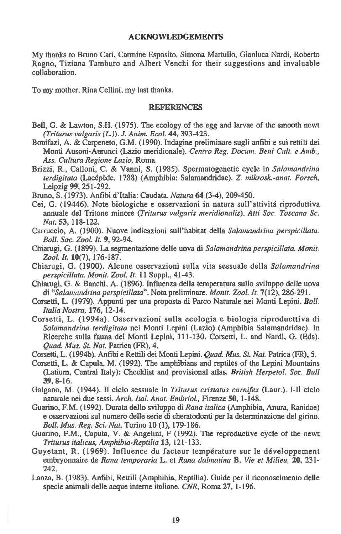#### **ACKNOWLEDGEMENTS**

**My thanks to Bruno Carl, Carmine Esposito, Simona Martullo, Gianluca Nardi, Roberto Ragno, Tiziana Tamburo and Albert Venchi for their suggestions and invaluable collaboration.** 

**To my mother, Rina Cellini, my last thanks.** 

#### **REFERENCES**

- **Bell, G. & Lawton, S.H. (1975). The ecology of the egg and larvae of the smooth newt**  *(Triturus vulgaris (L.)). J. Anim. Ecol.* **44, 393-423.**
- **Bonifazi, A. & Carpeneto, G.M. (1990). Indagine preliminare sugli anfibi e sui rettili dei Monti Ausoni-Aurunci (Lazio meridionale).** *Centro Reg. Docum. Beni Cult. e Amb., Ass. Cultura Regione Lazio,* **Roma.**
- **Brizzi, R., Calloni, C. & Vanni, S. (1985). Spermatogenetic cycle** *in Salamandrina terdigitata* **(Lacepede, 1788) (Amphibia: Salamandridae).** *Z. mikroslc-anat. Forsch,*  **Leipzig 99, 251-292.**
- **Bruno, S. (1973). Anfibi d'Italia: Caudata.** *Natura* **64 (3-4), 209-450.**
- **Cei, G. (19446). Note biologiche e osservazioni in natura sull'attivita riproduttiva annuale del Tritone minore** *(Triturus vulgaris meridionalis). Atti Soc. Toscana Sc. Nat.* **53, 118-122.**
- **Carruccio, A. (1900). Nuove indicazioni sull'habitat della** *Salamandrina perspicillata. BolL Soc. Zoo!. It.* **9, 92-94.**
- **Chiarugi, G. (1899). La segmentazione delle uova di** *Salamandrina perspicillata. Monit. Zool. It.* **10(7), 176-187.**
- **Chiarugi, G. (1900). Alcune osservazioni sulla vita sessuale della** *Salamandrina perspicillata. Monit. Zool. It.* **11 Suppl., 41-43.**
- **Chiarugi, G. & Banchi, A. (1896). Influenza della temperatura sullo sviluppo delle uova di** *"Salamandrina perspicillata".* **Nota preliminare.** *Monit. Zool. It.* **7(12), 286-291.**
- **Corsetti, L. (1979). Appunti per una proposta di Parco Naturale nei Monti Lepini.** *BolL Italia Nostra,* **176, 12-14.**
- **Corsetti, L. (1994a). Osservazioni sulla ecologia e biologia riproducttiva di**  *Salamandrina terdigitata* **nei Monti Lepini (Lazio) (Amphibia Salamandridae). In Ricerche sulla fauna dei Monti Lepini, 111-130. Corsetti, L. and Nardi, G. (Eds).**  *Quad. Mus. St. Nat.* **Patrica (FR), 4.**
- **Corsetti, L. (1994b). Anfibi e Rettili dei Monti Lepini.** *Quad. Mus. St. Nat.* **Patrica (FR), 5.**
- Corsetti, L. & Capula, M. (1992). The amphibians and reptiles of the Lepini Mountains **(Latium, Central Italy): Checklist and provisional atlas.** *British HerpetoL Soc. Bull*  **39, 8-16.**
- **Galgano, M. (1944). II ciclo sessuale in** *Triturus cristatus carnifex* **(Laur.). I-Il ciclo naturale nei due sessi.** *Arch. ItaL Anat. Embriol.,* **Firenze 50, 1-148.**
- **Guarino, F.M. (1992). Durata dello sviluppo di** *Rana italica* **(Amphibia, Anura, Ranidae) e osservazioni sul numero delle serie di cheratodonti per la determinazione del girino.**  *Boll. Mus. Reg. Sci. Nat.* **Torino 10 (1), 179-186.**
- **Guarino, F.M., Caputa, V. & Angelini, F (1992). The reproductive cycle of the newt**  *Triturus italicus, Amphibia-Reptilia* **13, 121-133.**
- **Guyetant, R. (1969). Influence du facteur temperature sur le developpement embryonnaire de** *Rana teinporaria* **L. et** *Rana dalmatina* **B.** *Vie et Milieu,* **20, 231- 242.**
- **Lanza, B. (1983). Anfibi, Rettili (Amphibia, Reptilia). Guide per it riconoscimento delle specie animali delle acque interne italiane.** *CNR,* **Roma 27, 1-196.**